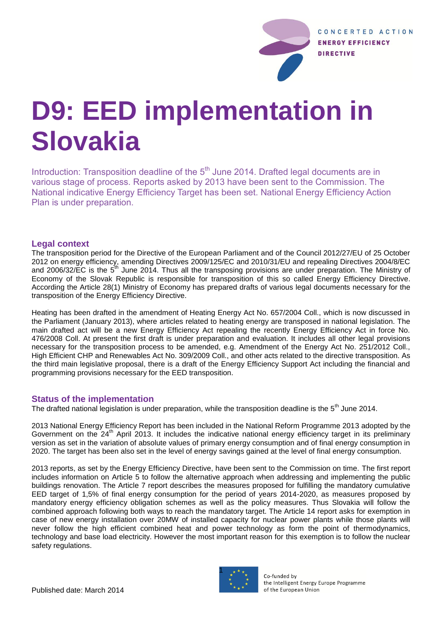

# **D9: EED implementation in Slovakia**

Introduction: Transposition deadline of the 5<sup>th</sup> June 2014. Drafted legal documents are in various stage of process. Reports asked by 2013 have been sent to the Commission. The National indicative Energy Efficiency Target has been set. National Energy Efficiency Action Plan is under preparation.

# **Legal context**

The transposition period for the Directive of the European Parliament and of the Council 2012/27/EU of 25 October 2012 on energy efficiency, amending Directives 2009/125/EC and 2010/31/EU and repealing Directives 2004/8/EC and 2006/32/EC is the 5<sup>th</sup> June 2014. Thus all the transposing provisions are under preparation. The Ministry of Economy of the Slovak Republic is responsible for transposition of this so called Energy Efficiency Directive. According the Article 28(1) Ministry of Economy has prepared drafts of various legal documents necessary for the transposition of the Energy Efficiency Directive.

Heating has been drafted in the amendment of Heating Energy Act No. 657/2004 Coll., which is now discussed in the Parliament (January 2013), where articles related to heating energy are transposed in national legislation. The main drafted act will be a new Energy Efficiency Act repealing the recently Energy Efficiency Act in force No. 476/2008 Coll. At present the first draft is under preparation and evaluation. It includes all other legal provisions necessary for the transposition process to be amended, e.g. Amendment of the Energy Act No. 251/2012 Coll., High Efficient CHP and Renewables Act No. 309/2009 Coll., and other acts related to the directive transposition. As the third main legislative proposal, there is a draft of the Energy Efficiency Support Act including the financial and programming provisions necessary for the EED transposition.

# **Status of the implementation**

The drafted national legislation is under preparation, while the transposition deadline is the 5<sup>th</sup> June 2014.

2013 National Energy Efficiency Report has been included in the National Reform Programme 2013 adopted by the Government on the 24<sup>th</sup> April 2013. It includes the indicative national energy efficiency target in its preliminary version as set in the variation of absolute values of primary energy consumption and of final energy consumption in 2020. The target has been also set in the level of energy savings gained at the level of final energy consumption.

2013 reports, as set by the Energy Efficiency Directive, have been sent to the Commission on time. The first report includes information on Article 5 to follow the alternative approach when addressing and implementing the public buildings renovation. The Article 7 report describes the measures proposed for fulfilling the mandatory cumulative EED target of 1,5% of final energy consumption for the period of years 2014-2020, as measures proposed by mandatory energy efficiency obligation schemes as well as the policy measures. Thus Slovakia will follow the combined approach following both ways to reach the mandatory target. The Article 14 report asks for exemption in case of new energy installation over 20MW of installed capacity for nuclear power plants while those plants will never follow the high efficient combined heat and power technology as form the point of thermodynamics, technology and base load electricity. However the most important reason for this exemption is to follow the nuclear safety regulations.



Co-funded by the Intelligent Energy Europe Programme of the European Union